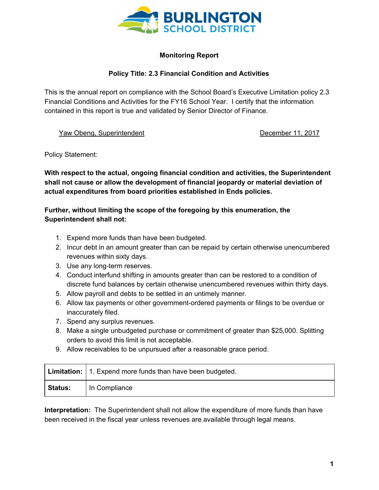

## **Monitoring Report**

## **Policy Title: 2.3 Financial Condition and Activities**

This is the annual report on compliance with the School Board's Executive Limitation policy 2.3 Financial Conditions and Activities for the FY16 School Year. I certify that the information contained in this report is true and validated by Senior Director of Finance.

Yaw Obeng, Superintendent **December 11, 2017** 

Policy Statement:

**With respect to the actual, ongoing financial condition and activities, the Superintendent shall not cause or allow the development of financial jeopardy or material deviation of actual expenditures from board priorities established in Ends policies.**

## **Further, without limiting the scope of the foregoing by this enumeration, the Superintendent shall not:**

- 1. Expend more funds than have been budgeted.
- 2. Incur debt in an amount greater than can be repaid by certain otherwise unencumbered revenues within sixty days.
- 3. Use any long-term reserves.
- 4. Conduct interfund shifting in amounts greater than can be restored to a condition of discrete fund balances by certain otherwise unencumbered revenues within thirty days.
- 5. Allow payroll and debts to be settled in an untimely manner.
- 6. Allow tax payments or other government-ordered payments or filings to be overdue or inaccurately filed.
- 7. Spend any surplus revenues.
- 8. Make a single unbudgeted purchase or commitment of greater than \$25,000. Splitting orders to avoid this limit is not acceptable.
- 9. Allow receivables to be unpursued after a reasonable grace period.

|                | Limitation:   1. Expend more funds than have been budgeted. |
|----------------|-------------------------------------------------------------|
| <b>Status:</b> | In Compliance                                               |

**Interpretation:** The Superintendent shall not allow the expenditure of more funds than have been received in the fiscal year unless revenues are available through legal means.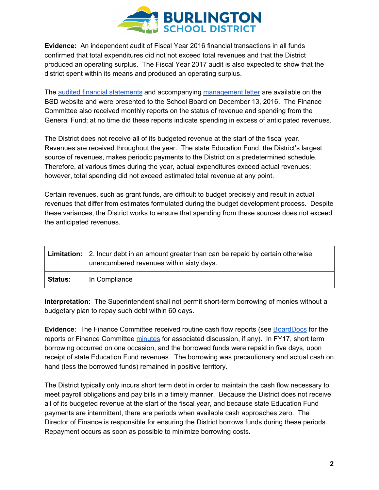

**Evidence:** An independent audit of Fiscal Year 2016 financial transactions in all funds confirmed that total expenditures did not not exceed total revenues and that the District produced an operating surplus. The Fiscal Year 2017 audit is also expected to show that the district spent within its means and produced an operating surplus.

The audited financial [statements](http://www.bsdvt.org/wp-content/uploads/2017/07/Burlington-Sch-Dist-16-FS-final.pdf) and accompanying [management](http://www.bsdvt.org/wp-content/uploads/2017/07/Management-Letter-2016.pdf) letter are available on the BSD website and were presented to the School Board on December 13, 2016. The Finance Committee also received monthly reports on the status of revenue and spending from the General Fund; at no time did these reports indicate spending in excess of anticipated revenues.

The District does not receive all of its budgeted revenue at the start of the fiscal year. Revenues are received throughout the year. The state Education Fund, the District's largest source of revenues, makes periodic payments to the District on a predetermined schedule. Therefore, at various times during the year, actual expenditures exceed actual revenues; however, total spending did not exceed estimated total revenue at any point.

Certain revenues, such as grant funds, are difficult to budget precisely and result in actual revenues that differ from estimates formulated during the budget development process. Despite these variances, the District works to ensure that spending from these sources does not exceed the anticipated revenues.

|                | <b>Limitation:</b> 2. Incur debt in an amount greater than can be repaid by certain otherwise<br>unencumbered revenues within sixty days. |
|----------------|-------------------------------------------------------------------------------------------------------------------------------------------|
| <b>Status:</b> | In Compliance                                                                                                                             |

**Interpretation:** The Superintendent shall not permit short-term borrowing of monies without a budgetary plan to repay such debt within 60 days.

**Evidence**: The Finance Committee received routine cash flow reports (see [BoardDocs](http://www.boarddocs.com/vt/bsdvt/Board.nsf/Public) for the reports or Finance Committee [minutes](http://www.bsdvt.org/school-board/agendaminutes/) for associated discussion, if any). In FY17, short term borrowing occurred on one occasion, and the borrowed funds were repaid in five days, upon receipt of state Education Fund revenues. The borrowing was precautionary and actual cash on hand (less the borrowed funds) remained in positive territory.

The District typically only incurs short term debt in order to maintain the cash flow necessary to meet payroll obligations and pay bills in a timely manner. Because the District does not receive all of its budgeted revenue at the start of the fiscal year, and because state Education Fund payments are intermittent, there are periods when available cash approaches zero. The Director of Finance is responsible for ensuring the District borrows funds during these periods. Repayment occurs as soon as possible to minimize borrowing costs.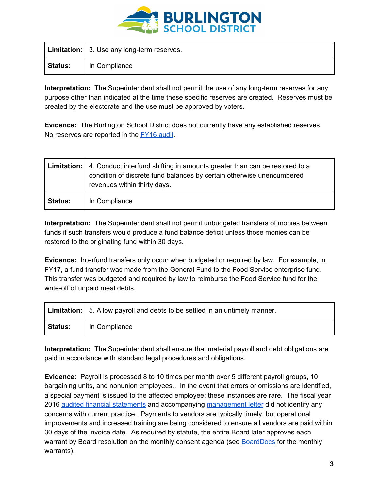

|                | Limitation:   3. Use any long-term reserves. |
|----------------|----------------------------------------------|
| <b>Status:</b> | In Compliance                                |

**Interpretation:** The Superintendent shall not permit the use of any long-term reserves for any purpose other than indicated at the time these specific reserves are created. Reserves must be created by the electorate and the use must be approved by voters.

**Evidence:** The Burlington School District does not currently have any established reserves. No reserves are reported in the [FY16](http://www.bsdvt.org/wp-content/uploads/2017/07/Burlington-Sch-Dist-16-FS-final.pdf) audit.

|                | <b>Limitation:</b> $\vert$ 4. Conduct interfund shifting in amounts greater than can be restored to a<br>condition of discrete fund balances by certain otherwise unencumbered<br>revenues within thirty days. |
|----------------|----------------------------------------------------------------------------------------------------------------------------------------------------------------------------------------------------------------|
| <b>Status:</b> | In Compliance                                                                                                                                                                                                  |

**Interpretation:** The Superintendent shall not permit unbudgeted transfers of monies between funds if such transfers would produce a fund balance deficit unless those monies can be restored to the originating fund within 30 days.

**Evidence:** Interfund transfers only occur when budgeted or required by law. For example, in FY17, a fund transfer was made from the General Fund to the Food Service enterprise fund. This transfer was budgeted and required by law to reimburse the Food Service fund for the write-off of unpaid meal debts.

|                | Limitation:   5. Allow payroll and debts to be settled in an untimely manner. |
|----------------|-------------------------------------------------------------------------------|
| <b>Status:</b> | In Compliance                                                                 |

**Interpretation:** The Superintendent shall ensure that material payroll and debt obligations are paid in accordance with standard legal procedures and obligations.

**Evidence:** Payroll is processed 8 to 10 times per month over 5 different payroll groups, 10 bargaining units, and nonunion employees.. In the event that errors or omissions are identified, a special payment is issued to the affected employee; these instances are rare. The fiscal year 2016 audited financial [statements](http://www.bsdvt.org/wp-content/uploads/2017/07/Burlington-Sch-Dist-16-FS-final.pdf) and accompanying [management](http://www.bsdvt.org/wp-content/uploads/2017/07/Management-Letter-2016.pdf) letter did not identify any concerns with current practice. Payments to vendors are typically timely, but operational improvements and increased training are being considered to ensure all vendors are paid within 30 days of the invoice date. As required by statute, the entire Board later approves each warrant by Board resolution on the monthly consent agenda (see [BoardDocs](http://www.boarddocs.com/vt/bsdvt/Board.nsf/Public) for the monthly warrants).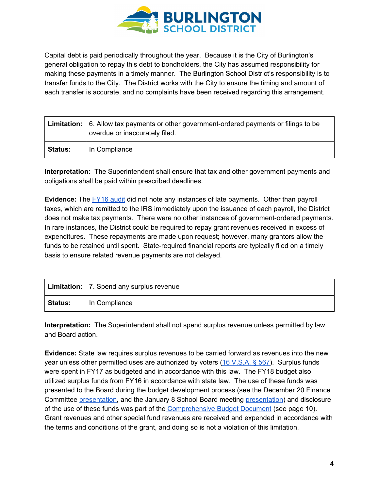

Capital debt is paid periodically throughout the year. Because it is the City of Burlington's general obligation to repay this debt to bondholders, the City has assumed responsibility for making these payments in a timely manner. The Burlington School District's responsibility is to transfer funds to the City. The District works with the City to ensure the timing and amount of each transfer is accurate, and no complaints have been received regarding this arrangement.

|                | <b>Limitation:</b> $\vert$ 6. Allow tax payments or other government-ordered payments or filings to be<br>overdue or inaccurately filed. |
|----------------|------------------------------------------------------------------------------------------------------------------------------------------|
| <b>Status:</b> | In Compliance                                                                                                                            |

**Interpretation:** The Superintendent shall ensure that tax and other government payments and obligations shall be paid within prescribed deadlines.

**Evidence:** The [FY16](http://www.bsdvt.org/wp-content/uploads/2017/07/Burlington-Sch-Dist-16-FS-final.pdf) audit did not note any instances of late payments. Other than payroll taxes, which are remitted to the IRS immediately upon the issuance of each payroll, the District does not make tax payments. There were no other instances of government-ordered payments. In rare instances, the District could be required to repay grant revenues received in excess of expenditures. These repayments are made upon request; however, many grantors allow the funds to be retained until spent. State-required financial reports are typically filed on a timely basis to ensure related revenue payments are not delayed.

|         | Limitation:   7. Spend any surplus revenue |
|---------|--------------------------------------------|
| Status: | In Compliance                              |

**Interpretation:** The Superintendent shall not spend surplus revenue unless permitted by law and Board action.

**Evidence:** State law requires surplus revenues to be carried forward as revenues into the new year unless other permitted uses are authorized by voters (16 [V.S.A.](http://legislature.vermont.gov/statutes/section/16/009/00567) § 567). Surplus funds were spent in FY17 as budgeted and in accordance with this law. The FY18 budget also utilized surplus funds from FY16 in accordance with state law. The use of these funds was presented to the Board during the budget development process (see the December 20 Finance Committee [presentation,](http://www.boarddocs.com/vt/bsdvt/Board.nsf/files/AGUBWP8350BB/$file/FY18%20Budget%20Development%20Update%2020161220.pdf) and the January 8 School Board meeting [presentation\)](http://www.boarddocs.com/vt/bsdvt/Board.nsf/files/AHFQYS6B9BAA/$file/SUNDAY%20FY18%20Budget%20Presentation.pdf) and disclosure of the use of these funds was part of the [Comprehensive](http://www.bsdvt.org/wp-content/uploads/2017/07/FY18-Comprehensive-Budget-Document.pdf) Budget Document (see page 10). Grant revenues and other special fund revenues are received and expended in accordance with the terms and conditions of the grant, and doing so is not a violation of this limitation.